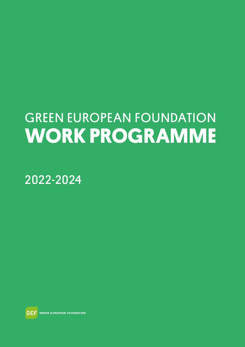# GREEN EUROPEAN FOUNDATION **WORK PROGRAMME**

2022-2024

**GEF** GREEN EUROPEAN FOUNDATION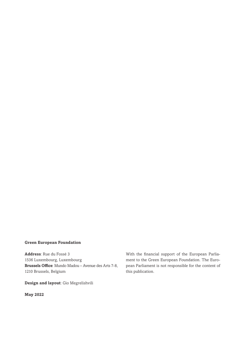#### **Green European Foundation**

**Address**: Rue du Fossé 3 1536 Luxembourg, Luxembourg **Brussels Office**: Mundo Madou – Avenue des Arts 7-8, 1210 Brussels, Belgium

**Design and layout**: Gio Megrelishvili

**May 2022**

With the financial support of the European Parliament to the Green European Foundation. The European Parliament is not responsible for the content of this publication.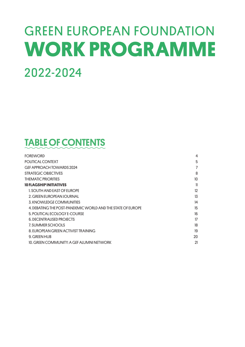# GREEN EUROPEAN FOUNDATION **WORK PROGRAMME** 2022-2024

### TABLE OF CONTENTS

| <b>FOREWORD</b>                                             | 4                |
|-------------------------------------------------------------|------------------|
| POLITICAL CONTEXT                                           | 5                |
| GEF APPROACH TOWARDS 2024                                   | $\overline{7}$   |
| STRATEGIC OBJECTIVES                                        | 8                |
| THEMATIC PRIORITIES                                         | 10 <sup>10</sup> |
| 10 FLAGSHIP INITIATIVES                                     | 11               |
| 1. SOUTH AND EAST OF EUROPE                                 | 12               |
| 2. GREEN EUROPEAN JOURNAL                                   | 13               |
| 3. KNOWLEDGE COMMUNITIES                                    | 14               |
| 4. DEBATING THE POST-PANDEMIC WORLD AND THE STATE OF EUROPE | 15               |
| 5. POLITICAL ECOLOGY E-COURSE                               | 16               |
| <b>6. DECENTRALISED PROJECTS</b>                            | 17               |
| 7. SUMMER SCHOOLS                                           | 18               |
| 8. EUROPEAN GREEN ACTIVIST TRAINING                         | 19               |
| 9. GREEN HUB                                                | 20               |
| 10. GREEN COMMUNITY: A GEF ALUMNI NETWORK                   | 21               |
|                                                             |                  |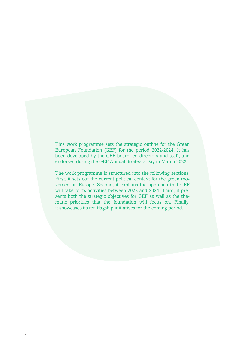This work programme sets the strategic outline for the Green European Foundation (GEF) for the period 2022-2024. It has been developed by the GEF board, co-directors and staff, and endorsed during the GEF Annual Strategic Day in March 2022.

The work programme is structured into the following sections. First, it sets out the current political context for the green movement in Europe. Second, it explains the approach that GEF will take to its activities between 2022 and 2024. Third, it presents both the strategic objectives for GEF as well as the thematic priorities that the foundation will focus on. Finally, it showcases its ten flagship initiatives for the coming period.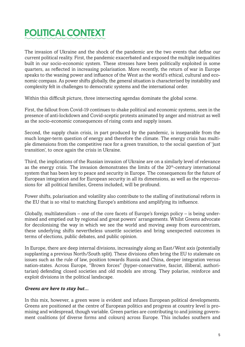## POLITICAL CONTEXT

The invasion of Ukraine and the shock of the pandemic are the two events that define our current political reality. First, the pandemic exacerbated and exposed the multiple inequalities built in our socio-economic system. These stresses have been politically exploited in some quarters, as reflected in increasing polarisation. More recently, the return of war in Europe speaks to the waning power and influence of the West as the world's ethical, cultural and economic compass. As power shifts globally, the general situation is characterised by instability and complexity felt in challenges to democratic systems and the international order.

Within this difficult picture, three intersecting agendas dominate the global scene.

First, the fallout from Covid-19 continues to shake political and economic systems, seen in the presence of anti-lockdown and Covid-sceptic protests animated by anger and mistrust as well as the socio-economic consequences of rising costs and supply issues.

Second, the supply chain crisis, in part produced by the pandemic, is inseparable from the much longer-term question of energy and therefore the climate. The energy crisis has multiple dimensions from the competitive race for a green transition, to the social question of 'just transition', to once again the crisis in Ukraine.

Third, the implications of the Russian invasion of Ukraine are on a similarly level of relevance as the energy crisis. The invasion demonstrates the limits of the 20<sup>th</sup>-century international system that has been key to peace and security in Europe. The consequences for the future of European integration and for European security in all its dimensions, as well as the repercussions for all political families, Greens included, will be profound.

Power shifts, polarisation and volatility also contribute to the stalling of institutional reform in the EU that is so vital to matching Europe's ambitions and amplifying its influence.

Globally, multilateralism – one of the core facets of Europe's foreign policy – is being undermined and emptied out by regional and great powers' arrangements. Whilst Greens advocate for decolonising the way in which we see the world and moving away from eurocentrism, these underlying shifts nevertheless unsettle societies and bring unexpected outcomes in terms of elections, public debates, and public opinion.

In Europe, there are deep internal divisions, increasingly along an East/West axis (potentially supplanting a previous North/South split). These divisions often bring the EU to stalemate on issues such as the rule of law, position towards Russia and China, deeper integration versus nation-states. Across Europe, "Brown forces" (hyper-conservative, fascist, illiberal, authoritarian) defending closed societies and old models are strong. They polarise, reinforce and exploit divisions in the political landscape.

### *Greens are here to stay but...*

In this mix, however, a green wave is evident and infuses European political developments. Greens are positioned at the centre of European politics and progress at country level is promising and widespread, though variable. Green parties are contributing to and joining government coalitions (of diverse forms and colours) across Europe. This includes southern and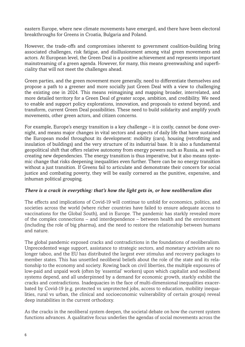eastern Europe, where new climate movements have emerged, and there have been electoral breakthroughs for Greens in Croatia, Bulgaria and Poland.

However, the trade-offs and compromises inherent to government coalition-building bring associated challenges, risk fatigue, and disillusionment among vital green movements and actors. At European level, the Green Deal is a positive achievement and represents important mainstreaming of a green agenda. However, for many, this means greenwashing and superficiality that will not meet the challenges ahead.

Green parties, and the green movement more generally, need to differentiate themselves and propose a path to a greener and more socially just Green Deal with a view to challenging the existing one in 2024. This means reimagining and mapping broader, interrelated, and more detailed territory for a Green Deal of greater scope, ambition, and credibility. We need to enable and support policy explorations, innovation, and proposals to extend beyond, and transform, current Green Deal possibilities. These need to build solidarity and amplify youth movements, other green actors, and citizen concerns.

For example, Europe's energy transition is a key challenge – it is costly, cannot be done overnight, and means major changes in vital sectors and aspects of daily life that have sustained the European model throughout its development: mobility (cars), housing (retrofitting and insulation of buildings) and the very structure of its industrial base. It is also a fundamental geopolitical shift that offers relative autonomy from energy powers such as Russia, as well as creating new dependencies. The energy transition is thus imperative, but it also means systemic change that risks deepening inequalities even further. There can be no energy transition without a just transition. If Greens fail to articulate and demonstrate their concern for social justice and combating poverty, they will be easily cornered as the punitive, expensive, and inhuman political grouping.

#### *There is a crack in everything: that's how the light gets in, or how neoliberalism dies*

The effects and implications of Covid-19 will continue to unfold for economics, politics, and societies across the world (where richer countries have failed to ensure adequate access to vaccinations for the Global South), and in Europe. The pandemic has starkly revealed more of the complex connections – and interdependence – between health and the environment (including the role of big pharma), and the need to restore the relationship between humans and nature.

The global pandemic exposed cracks and contradictions in the foundations of neoliberalism. Unprecedented wage support, assistance to strategic sectors, and monetary activism are no longer taboo, and the EU has distributed the largest ever stimulus and recovery packages to member states. This has unsettled neoliberal beliefs about the role of the state and its relationship to the economy and society. Rowing back on civil liberties, the multiple exposures of low-paid and unpaid work (often by 'essential' workers) upon which capitalist and neoliberal systems depend, and all underpinned by a demand for economic growth, starkly exhibit the cracks and contradictions. Inadequacies in the face of multi-dimensional inequalities exacerbated by Covid-19 (e.g. protected vs unprotected jobs, access to education, mobility inequalities, rural vs urban, the clinical and socioeconomic vulnerability of certain groups) reveal deep instabilities in the current orthodoxy.

As the cracks in the neoliberal system deepen, the societal debate on how the current system functions advances. A qualitative focus underlies the agendas of social movements across the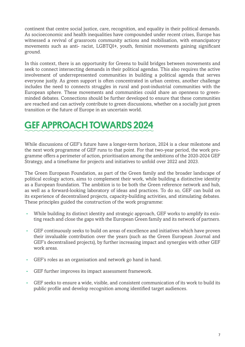continent that centre social justice, care, recognition, and equality in their political demands. As socioeconomic and health inequalities have compounded under recent crises, Europe has witnessed a revival of grassroots community actions and mobilisation, with emancipatory movements such as anti- racist, LGBTQI+, youth, feminist movements gaining significant ground.

In this context, there is an opportunity for Greens to build bridges between movements and seek to connect intersecting demands in their political agendas. This also requires the active involvement of underrepresented communities in building a political agenda that serves everyone justly. As green support is often concentrated in urban centres, another challenge includes the need to connects struggles in rural and post-industrial communities with the European sphere. These movements and communities could share an openness to greenminded debates. Connections should be further developed to ensure that these communities are reached and can actively contribute to green discussions, whether on a socially just green transition or the future of Europe in an uncertain world.

### GEF APPROACH TOWARDS 2024

While discussions of GEF's future have a longer-term horizon, 2024 is a clear milestone and the next work programme of GEF runs to that point. For that two-year period, the work programme offers a perimeter of action, prioritisation among the ambitions of the 2020-2024 GEF Strategy, and a timeframe for projects and initiatives to unfold over 2022 and 2023.

The Green European Foundation, as part of the Green family and the broader landscape of political ecology actors, aims to complement their work, while building a distinctive identity as a European foundation. The ambition is to be both the Green reference network and hub, as well as a forward-looking laboratory of ideas and practices. To do so, GEF can build on its experience of decentralised projects, capacity-building activities, and stimulating debates. These principles guided the construction of the work programme:

- While building its distinct identity and strategic approach, GEF works to amplify its existing reach and close the gaps with the European Green family and its network of partners.
- GEF continuously seeks to build on areas of excellence and initiatives which have proven their invaluable contribution over the years (such as the Green European Journal and GEF's decentralised projects), by further increasing impact and synergies with other GEF work areas.
- GEF's roles as an organisation and network go hand in hand.
- GEF further improves its impact assessment framework.
- GEF seeks to ensure a wide, visible, and consistent communication of its work to build its public profile and develop recognition among identified target audiences.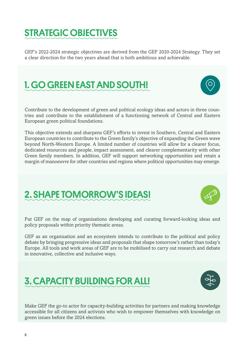### STRATEGIC OBJECTIVES

GEF's 2022-2024 strategic objectives are derived from the GEF 2020-2024 Strategy. They set a clear direction for the two years ahead that is both ambitious and achievable.

## 1. GO GREEN EAST AND SOUTH!

Contribute to the development of green and political ecology ideas and actors in three countries and contribute to the establishment of a functioning network of Central and Eastern European green political foundations.

This objective extends and sharpens GEF's efforts to invest in Southern, Central and Eastern European countries to contribute to the Green family's objective of expanding the Green wave beyond North-Western Europe. A limited number of countries will allow for a clearer focus, dedicated resources and people, impact assessment, and clearer complementarity with other Green family members. In addition, GEF will support networking opportunities and retain a margin of manoeuvre for other countries and regions where political opportunities may emerge.

### 2. SHAPE TOMORROW'S IDEAS!

3. CAPACITY BUILDING FOR ALL!

Put GEF on the map of organisations developing and curating forward-looking ideas and policy proposals within priority thematic areas.

GEF as an organisation and an ecosystem intends to contribute to the political and policy debate by bringing progressive ideas and proposals that shape tomorrow's rather than today's Europe. All tools and work areas of GEF are to be mobilised to carry out research and debate in innovative, collective and inclusive ways.

Make GEF the go-to actor for capacity-building activities for partners and making knowledge accessible for all citizens and activists who wish to empower themselves with knowledge on green issues before the 2024 elections.





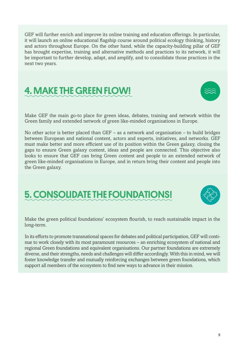GEF will further enrich and improve its online training and education offerings. In particular, it will launch an online educational flagship course around political ecology thinking, history and actors throughout Europe. On the other hand, while the capacity-building pillar of GEF has brought expertise, training and alternative methods and practices to its network, it will be important to further develop, adapt, and amplify, and to consolidate those practices in the next two years.

### 4. MAKE THE GREEN FLOW!

Make GEF the main go-to place for green ideas, debates, training and network within the Green family and extended network of green like-minded organisations in Europe.

No other actor is better placed than GEF – as a network and organisation – to build bridges between European and national content, actors and experts, initiatives, and networks. GEF must make better and more efficient use of its position within the Green galaxy, closing the gaps to ensure Green galaxy content, ideas and people are connected. This objective also looks to ensure that GEF can bring Green content and people to an extended network of green like-minded organisations in Europe, and in return bring their content and people into the Green galaxy.

### 5. CONSOLIDATE THE FOUNDATIONS!

Make the green political foundations' ecosystem flourish, to reach sustainable impact in the long-term.

In its efforts to promote transnational spaces for debates and political participation, GEF will continue to work closely with its most paramount resources – an enriching ecosystem of national and regional Green foundations and equivalent organisations. Our partner foundations are extremely diverse, and their strengths, needs and challenges will differ accordingly. With this in mind, we will foster knowledge transfer and mutually reinforcing exchanges between green foundations, which support all members of the ecosystem to find new ways to advance in their mission.



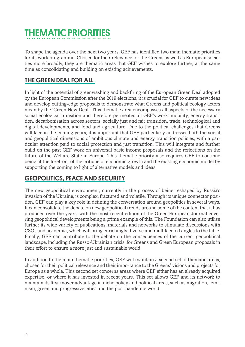## THEMATIC PRIORITIES

To shape the agenda over the next two years, GEF has identified two main thematic priorities for its work programme. Chosen for their relevance for the Greens as well as European societies more broadly, they are thematic areas that GEF wishes to explore further, at the same time as consolidating and building on existing achievements.

### THE GREEN DEAL FOR ALL

In light of the potential of greenwashing and backfiring of the European Green Deal adopted by the European Commission after the 2019 elections, it is crucial for GEF to curate new ideas and develop cutting-edge proposals to demonstrate what Greens and political ecology actors mean by the 'Green New Deal'. This thematic area encompasses all aspects of the necessary social-ecological transition and therefore permeates all GEF's work: mobility, energy transition, decarbonisation across sectors, socially just and fair transition, trade, technological and digital developments, and food and agriculture. Due to the political challenges that Greens will face in the coming years, it is important that GEF particularly addresses both the social and geopolitical dimensions of ambitious climate and energy transition policies, with a particular attention paid to social protection and just transition. This will integrate and further build on the past GEF work on universal basic income proposals and the reflections on the future of the Welfare State in Europe. This thematic priority also requires GEF to continue being at the forefront of the critique of economic growth and the existing economic model by supporting the coming to light of alternative models and ideas.

### GEOPOLITICS, PEACE AND SECURITY

The new geopolitical environment, currently in the process of being reshaped by Russia's invasion of the Ukraine, is complex, fractured and volatile. Through its unique connector position, GEF can play a key role in defining the conversation around geopolitics in several ways. It can consolidate the debate on new geopolitical trends around some of the content that it has produced over the years, with the most recent edition of the Green European Journal covering geopolitical developments being a prime example of this. The Foundation can also utilise further its wide variety of publications, materials and networks to stimulate discussions with CSOs and academia, which will bring enrichingly diverse and multifaceted angles to the table. Finally, GEF can contribute to the debate on the consequences of the current geopolitical landscape, including the Russo-Ukrainian crisis, for Greens and Green European proposals in their effort to ensure a more just and sustainable world.

In addition to the main thematic priorities, GEF will maintain a second set of thematic areas, chosen for their political relevance and their importance to the Greens' visions and projects for Europe as a whole. This second set concerns areas where GEF either has an already acquired expertise, or where it has invested in recent years. This set allows GEF and its network to maintain its first-mover advantage in niche policy and political areas, such as migration, feminism, green and progressive cities and the post-pandemic world.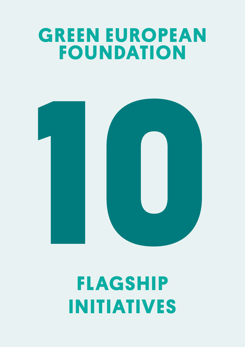# **GREEN EUROPEAN FOUNDATION**



**FLAGSHIP INITIATIVES**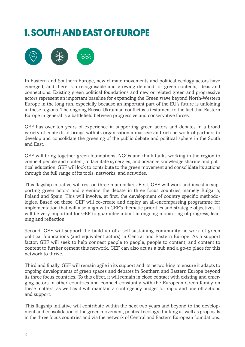### **1. SOUTH AND EAST OF EUROPE**



In Eastern and Southern Europe, new climate movements and political ecology actors have emerged, and there is a recognisable and growing demand for green contents, ideas and connections. Existing green political foundations and new or related green and progressive actors represent an important baseline for expanding the Green wave beyond North-Western Europe in the long run, especially because an important part of the EU's future is unfolding in these regions. The ongoing Russo-Ukrainian conflict is a testament to the fact that Eastern Europe in general is a battlefield between progressive and conservative forces.

GEF has over ten years of experience in supporting green actors and debates in a broad variety of contexts: it brings with its organisation a massive and rich network of partners to develop and consolidate the greening of the public debate and political sphere in the South and East.

GEF will bring together green foundations, NGOs and think tanks working in the region to connect people and content, to facilitate synergies, and advance knowledge sharing and political education. GEF will look to contribute to the green movement and consolidate its actions through the full range of its tools, networks, and activities.

This flagship initiative will rest on three main pillars**.** First, GEF will work and invest in supporting green actors and greening the debate in three focus countries, namely Bulgaria, Poland and Spain. This will involve, at first, the development of country specific methodologies. Based on these, GEF will co-create and deploy an all-encompassing programme for implementation that will also align with GEF's thematic priorities and strategic objectives. It will be very important for GEF to guarantee a built-in ongoing monitoring of progress, learning and reflection.

Second, GEF will support the build-up of a self-sustaining community network of green political foundations (and equivalent actors) in Central and Eastern Europe. As a support factor, GEF will seek to help connect people to people, people to content, and content to content to further cement this network. GEF can also act as a hub and a go-to place for this network to thrive.

Third and finally, GEF will remain agile in its support and its networking to ensure it adapts to ongoing developments of green spaces and debates in Southern and Eastern Europe beyond its three focus countries. To this effect, it will remain in close contact with existing and emerging actors in other countries and connect constantly with the European Green family on these matters, as well as it will maintain a contingency budget for rapid and one-off actions and support.

This flagship initiative will contribute within the next two years and beyond to the development and consolidation of the green movement, political ecology thinking as well as proposals in the three focus countries and via the network of Central and Eastern European foundations.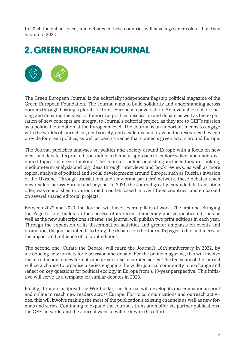In 2024, the public spaces and debates in these countries will have a greener colour than they had up to 2022.

### **2. GREEN EUROPEAN JOURNAL**



The Green European Journal is the editorially independent flagship political magazine of the Green European Foundation. The Journal aims to build solidarity and understanding across borders through hosting a pluralistic trans-European conversation. An invaluable tool for shaping and debating the ideas of tomorrow, political discussion and debate as well as the exploration of new concepts are integral to Journal's editorial project, as they are to GEF's mission as a political foundation at the European level. The Journal is an important means to engage with the worlds of journalism, civil society, and academia and draw on the resources they can provide for green politics, as well as being a venue that connects green actors around Europe.

The Journal publishes analyses on politics and society around Europe with a focus on new ideas and debate. Its print editions adopt a thematic approach to explore salient and underexamined topics for green thinking. The Journal's online publishing includes forward-looking, medium-term analysis and big ideas through interviews and book reviews, as well as more topical analysis of political and social developments around Europe, such as Russia's invasion of the Ukraine. Through translations and its vibrant partners' network, these debates reach new readers across Europe and beyond. In 2021, the Journal greatly expanded its translation offer, was republished in various media outlets based in over fifteen countries, and embarked on several shared editorial projects.

Between 2022 and 2023, the Journal will have several pillars of work. The first one, Bringing the Page to Life, builds on the success of its recent democracy and geopolitics editions as well as the new subscriptions scheme, the journal will publish two print editions in each year. Through the expansion of its dissemination activities and greater emphasis on events and promotion, the journal intends to bring the debates on the Journal's pages to life and increase the impact and influence of its print editions.

The second one, Curate the Debate, will mark the Journal's 10th anniversary in 2022, by introducing new formats for discussion and debate. For the online magazine, this will involve the introduction of new formats and greater use of curated series. The ten years of the journal will be a chance to organise a series engaging the wider journal community to exchange and reflect on key questions for political ecology in Europe from a 10-year perspective. This initiative will serve as a template for similar debates in 2023.

Finally, through its Spread the Word pillar, the Journal will develop its dissemination in print and online to reach new readers across Europe. For its communications and outreach activities, this will involve making the most of the publication's existing channels as well as new formats and series. Continuing to expand the Journal's translation offer via partner publications, the GEF network, and the Journal website will be key in this effort.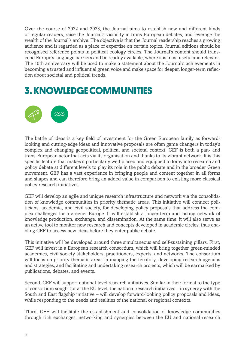Over the course of 2022 and 2023, the Journal aims to establish new and different kinds of regular readers, raise the Journal's visibility in trans-European debates, and leverage the wealth of the Journal's archive. The objective is that the Journal readership reaches a growing audience and is regarded as a place of expertise on certain topics. Journal editions should be recognised reference points in political ecology circles. The Journal's content should transcend Europe's language barriers and be readily available, where it is most useful and relevant. The 10th anniversary will be used to make a statement about the Journal's achievements in becoming a trusted and influential green voice and make space for deeper, longer-term reflection about societal and political trends.

### **3. KNOWLEDGE COMMUNITIES**



The battle of ideas is a key field of investment for the Green European family as forwardlooking and cutting-edge ideas and innovative proposals are often game changers in today's complex and changing geopolitical, political and societal context. GEF is both a pan- and trans-European actor that acts via its organisation and thanks to its vibrant network. It is this specific feature that makes it particularly well-placed and equipped to foray into research and policy debate at different levels to play its role in the public debate and in the broader Green movement. GEF has a vast experience in bringing people and content together in all forms and shapes and can therefore bring an added value in comparison to existing more classical policy research initiatives.

GEF will develop an agile and unique research infrastructure and network via the consolidation of knowledge communities in priority thematic areas. This initiative will connect politicians, academia, and civil society, for developing policy proposals that address the complex challenges for a greener Europe. It will establish a longer-term and lasting network of knowledge production, exchange, and dissemination. At the same time, it will also serve as an active tool to monitor new research and concepts developed in academic circles, thus enabling GEF to access new ideas before they enter public debate.

This initiative will be developed around three simultaneous and self-sustaining pillars. First, GEF will invest in a European research consortium, which will bring together green-minded academics, civil society stakeholders, practitioners, experts, and networks. The consortium will focus on priority thematic areas in mapping the territory, developing research agendas and strategies, and facilitating and undertaking research projects, which will be earmarked by publications, debates, and events.

Second, GEF will support national-level research initiatives. Similar in their format to the type of consortium sought for at the EU level, the national research initiatives – in synergy with the South and East flagship initiative – will develop forward-looking policy proposals and ideas, while responding to the needs and realities of the national or regional contexts.

Third, GEF will facilitate the establishment and consolidation of knowledge communities through rich exchanges, networking and synergies between the EU and national research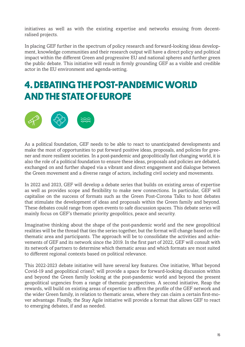initiatives as well as with the existing expertise and networks ensuing from decentralised projects.

In placing GEF further in the spectrum of policy research and forward-looking ideas development, knowledge communities and their research output will have a direct policy and political impact within the different Green and progressive EU and national spheres and further green the public debate. This initiative will result in firmly grounding GEF as a visible and credible actor in the EU environment and agenda-setting.

### **4. DEBATING THE POST-PANDEMIC WORLD AND THE STATE OF EUROPE**



As a political foundation, GEF needs to be able to react to unanticipated developments and make the most of opportunities to put forward positive ideas, proposals, and policies for greener and more resilient societies. In a post-pandemic and geopolitically fast changing world, it is also the role of a political foundation to ensure these ideas, proposals and policies are debated, exchanged on and further shaped via a vibrant and direct engagement and dialogue between the Green movement and a diverse range of actors, including civil society and movements.

In 2022 and 2023, GEF will develop a debate series that builds on existing areas of expertise as well as provides scope and flexibility to make new connections. In particular, GEF will capitalise on the success of formats such as the Green Post-Corona Talks to host debates that stimulate the development of ideas and proposals within the Green family and beyond. These debates could range from open events to safe discussion spaces. This debate series will mainly focus on GEF's thematic priority geopolitics, peace and security.

Imaginative thinking about the shape of the post-pandemic world and the new geopolitical realities will be the thread that ties the series together, but the format will change based on the thematic area and participants. The approach will be to consolidate the activities and achievements of GEF and its network since the 2019. In the first part of 2022, GEF will consult with its network of partners to determine which thematic areas and which formats are most suited to different regional contexts based on political relevance.

This 2022-2023 debate initiative will have several key features. One initiative, What beyond Covid-19 and geopolitical crises?, will provide a space for forward-looking discussion within and beyond the Green family looking at the post-pandemic world and beyond the present geopolitical urgencies from a range of thematic perspectives. A second initiative, Reap the rewards, will build on existing areas of expertise to affirm the profile of the GEF network and the wider Green family, in relation to thematic areas, where they can claim a certain first-mover advantage. Finally, the Stay Agile initiative will provide a format that allows GEF to react to emerging debates, if and as needed.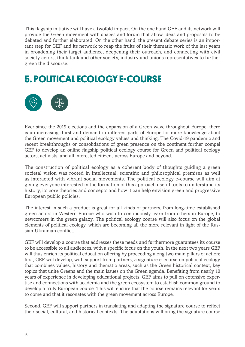This flagship initiative will have a twofold impact. On the one hand GEF and its network will provide the Green movement with spaces and forum that allow ideas and proposals to be debated and further elaborated. On the other hand, the present debate series is an important step for GEF and its network to reap the fruits of their thematic work of the last years in broadening their target audience, deepening their outreach, and connecting with civil society actors, think tank and other society, industry and unions representatives to further green the discourse.

### **5. POLITICAL ECOLOGY E-COURSE**



Ever since the 2019 elections and the expansion of a Green wave throughout Europe, there is an increasing thirst and demand in different parts of Europe for more knowledge about the Green movement and political ecology values and thinking. The Covid-19 pandemic and recent breakthroughs or consolidations of green presence on the continent further compel GEF to develop an online flagship political ecology course for Green and political ecology actors, activists, and all interested citizens across Europe and beyond.

The construction of political ecology as a coherent body of thoughts guiding a green societal vision was rooted in intellectual, scientific and philosophical premises as well as interacted with vibrant social movements. The political ecology e-course will aim at giving everyone interested in the formation of this approach useful tools to understand its history, its core theories and concepts and how it can help envision green and progressive European public policies.

The interest in such a product is great for all kinds of partners, from long-time established green actors in Western Europe who wish to continuously learn from others in Europe, to newcomers in the green galaxy. The political ecology course will also focus on the global elements of political ecology, which are becoming all the more relevant in light of the Russian-Ukrainian conflict.

GEF will develop a course that addresses these needs and furthermore guarantees its course to be accessible to all audiences, with a specific focus on the youth. In the next two years GEF will thus enrich its political education offering by proceeding along two main pillars of action: first, GEF will develop, with support from partners, a signature e-course on political ecology that combines values, history and thematic areas, such as the Green historical context, key topics that unite Greens and the main issues on the Green agenda. Benefiting from nearly 10 years of experience in developing educational projects, GEF aims to pull on extensive expertise and connections with academia and the green ecosystem to establish common ground to develop a truly European course. This will ensure that the course remains relevant for years to come and that it resonates with the green movement across Europe.

Second, GEF will support partners in translating and adapting the signature course to reflect their social, cultural, and historical contexts. The adaptations will bring the signature course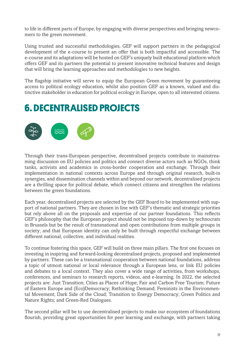to life in different parts of Europe, by engaging with diverse perspectives and bringing newcomers to the green movement.

Using trusted and successful methodologies, GEF will support partners in the pedagogical development of the e-course to present an offer that is both impactful and accessible. The e-course and its adaptations will be hosted on GEF's uniquely built educational platform which offers GEF and its partners the potential to present innovative technical features and design that will bring the learning approaches and methodologies to new heights.

The flagship initiative will serve to equip the European Green movement by guaranteeing access to political ecology education, whilst also position GEF as a known, valued and distinctive stakeholder in education for political ecology in Europe, open to all interested citizens.

### **6. DECENTRALISED PROJECTS**



Through their trans-European perspective, decentralised projects contribute to mainstreaming discussion on EU policies and politics and connect diverse actors such as NGOs, think tanks, activists and academics in cross-border cooperation and exchange. Through their implementation in national contexts across Europe and through original research, built-in synergies, and dissemination channels within and beyond our network, decentralised projects are a thrilling space for political debate, which connect citizens and strengthen the relations between the green foundations.

Each year, decentralised projects are selected by the GEF Board to be implemented with support of national partners. They are chosen in line with GEF's thematic and strategic priorities but rely above all on the proposals and expertise of our partner foundations. This reflects GEF's philosophy that the European project should not be imposed top-down by technocrats in Brussels but be the result of transnational and open contributions from multiple groups in society; and that European identity can only be built through respectful exchange between different national, collective, and individual realities.

To continue fostering this space, GEF will build on three main pillars. The first one focuses on investing in inspiring and forward-looking decentralised projects, proposed and implemented by partners. These can be a transnational cooperation between national foundations, address a topic of utmost national or local relevance through a European lens, or link EU policies and debates to a local context. They also cover a wide range of activities, from workshops, conferences, and seminars to research reports, videos, and e-learning. In 2022, the selected projects are: Just Transition; Cities as Places of Hope; Fair and Carbon Free Tourism; Future of Eastern Europe and (Eco)Democracy; Rethinking Demand; Feminists in the Environmental Movement; Dark Side of the Cloud; Transition to Energy Democracy; Green Politics and Nature Rights; and Green-Red Dialogues.

The second pillar will be to use decentralised projects to make our ecosystem of foundations flourish, providing great opportunities for peer learning and exchange, with partners taking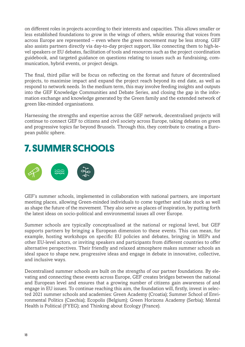on different roles in projects according to their interests and capacities. This allows smaller or less established foundations to grow in the wings of others, while ensuring that voices from across Europe are represented – even where the green movement may be less strong. GEF also assists partners directly via day-to-day project support, like connecting them to high-level speakers or EU debates, facilitation of tools and resources such as the project coordination guidebook, and targeted guidance on questions relating to issues such as fundraising, communication, hybrid events, or project design.

The final, third pillar will be focus on reflecting on the format and future of decentralised projects, to maximise impact and expand the project reach beyond its end date, as well as respond to network needs. In the medium term, this may involve feeding insights and outputs into the GEF Knowledge Communities and Debate Series, and closing the gap in the information exchange and knowledge generated by the Green family and the extended network of green like-minded organisations.

Harnessing the strengths and expertise across the GEF network, decentralised projects will continue to connect GEF to citizens and civil society across Europe, taking debates on green and progressive topics far beyond Brussels. Through this, they contribute to creating a European public sphere.

### **7. SUMMER SCHOOLS**



GEF's summer schools, implemented in collaboration with national partners, are important meeting places, allowing Green-minded individuals to come together and take stock as well as shape the future of the movement. They also serve as places of inspiration, by putting forth the latest ideas on socio-political and environmental issues all over Europe.

Summer schools are typically conceptualised at the national or regional level, but GEF supports partners by bringing a European dimension to these events. This can mean, for example, hosting workshops on specific EU policies and debates, bringing in MEPs and other EU-level actors, or inviting speakers and participants from different countries to offer alternative perspectives. Their friendly and relaxed atmosphere makes summer schools an ideal space to shape new, progressive ideas and engage in debate in innovative, collective, and inclusive ways.

Decentralised summer schools are built on the strengths of our partner foundations. By elevating and connecting these events across Europe, GEF creates bridges between the national and European level and ensures that a growing number of citizens gain awareness of and engage in EU issues. To continue reaching this aim, the foundation will, firstly, invest in selected 2021 summer schools and academies: Green Academy (Croatia); Summer School of Environmental Politics (Czechia); Ecopolis (Belgium); Green Horizons Academy (Serbia); Mental Health is Political (FYEG); and Thinking about Ecology (France).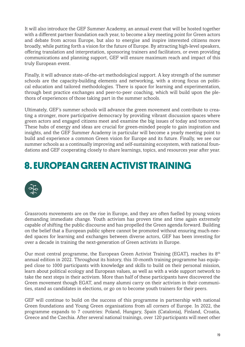It will also introduce the GEF Summer Academy, an annual event that will be hosted together with a different partner foundation each year, to become a key meeting point for Green actors and debate from across Europe, but also to energise and inspire interested citizens more broadly, while putting forth a vision for the future of Europe. By attracting high-level speakers, offering translation and interpretation, sponsoring trainers and facilitators, or even providing communications and planning support, GEF will ensure maximum reach and impact of this truly European event.

Finally, it will advance state-of-the-art methodological support. A key strength of the summer schools are the capacity-building elements and networking, with a strong focus on political education and tailored methodologies. There is space for learning and experimentation, through best practice exchanges and peer-to-peer coaching, which will build upon the plethora of experiences of those taking part in the summer schools.

Ultimately, GEF's summer schools will advance the green movement and contribute to creating a stronger, more participative democracy by providing vibrant discussion spaces where green actors and engaged citizens meet and examine the big issues of today and tomorrow. These hubs of energy and ideas are crucial for green-minded people to gain inspiration and insights, and the GEF Summer Academy in particular will become a yearly meeting point to build and experience a common Green vision for Europe and its future. Finally, we see our summer schools as a continually improving and self-sustaining ecosystem, with national foundations and GEF cooperating closely to share learnings, topics, and resources year after year.

### **8. EUROPEAN GREEN ACTIVIST TRAINING**



Grassroots movements are on the rise in Europe, and they are often fuelled by young voices demanding immediate change. Youth activism has proven time and time again extremely capable of shifting the public discourse and has propelled the Green agenda forward. Building on the belief that a European public sphere cannot be promoted without ensuring much-needed spaces for learning and exchanges between diverse actors, GEF has been investing for over a decade in training the next-generation of Green activists in Europe.

Our most central programme, the European Green Activist Training (EGAT), reaches its 8<sup>th</sup> annual edition in 2022. Throughout its history, this 10-month training programme has equipped close to 1000 participants with knowledge and skills to build on their personal mission, learn about political ecology and European values, as well as with a wide support network to take the next steps in their activism. More than half of these participants have discovered the Green movement though EGAT, and many alumni carry on their activism in their communities, stand as candidates in elections, or go on to become youth trainers for their peers.

GEF will continue to build on the success of this programme in partnership with national Green foundations and Young Green organisations from all corners of Europe. In 2022, the programme expands to 7 countries: Poland, Hungary, Spain (Catalonia), Finland, Croatia, Greece and the Czechia. After several national trainings, over 120 participants will meet other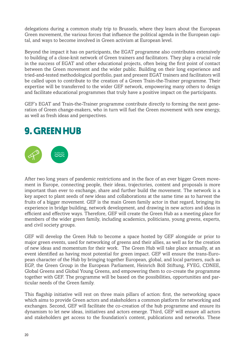delegations during a common study trip to Brussels, where they learn about the European Green movement, the various forces that influence the political agenda in the European capital, and ways to become involved in Green activism at European level.

Beyond the impact it has on participants, the EGAT programme also contributes extensively to building of a close-knit network of Green trainers and facilitators. They play a crucial role in the success of EGAT and other educational projects, often being the first point of contact between the Green movement and the wider public. Building on their long experience and tried-and-tested methodological portfolio, past and present EGAT trainers and facilitators will be called upon to contribute to the creation of a Green Train-the-Trainer programme. Their expertise will be transferred to the wider GEF network, empowering many others to design and facilitate educational programmes that truly have a positive impact on the participants.

GEF's EGAT and Train-the-Trainer programme contribute directly to forming the next generation of Green change-makers, who in turn will fuel the Green movement with new energy, as well as fresh ideas and perspectives.

### **9. GREEN HUB**



After two long years of pandemic restrictions and in the face of an ever bigger Green movement in Europe, connecting people, their ideas, trajectories, content and proposals is more important than ever to exchange, share and further build the movement. The network is a key aspect to plant seeds of new ideas and collaborations at the same time as to harvest the fruits of a bigger movement. GEF is the main Green family actor in that regard, bringing its experience in bridge building, network development, and drawing in new actors and ideas in efficient and effective ways. Therefore, GEF will create the Green Hub as a meeting place for members of the wider green family, including academics, politicians, young greens, experts, and civil society groups.

GEF will develop the Green Hub to become a space hosted by GEF alongside or prior to major green events, used for networking of greens and their allies, as well as for the creation of new ideas and momentum for their work. The Green Hub will take place annually, at an event identified as having most potential for green impact. GEF will ensure the trans-European character of the Hub by bringing together European, global, and local partners, such as EGP, the Green Group in the European Parliament, Heinrich Böll Stiftung, FYEG, CDNEE, Global Greens and Global Young Greens, and empowering them to co-create the programme together with GEF. The programme will be based on the possibilities, opportunities and particular needs of the Green family.

This flagship initiative will rest on three main pillars of action: first, the networking space which aims to provide Green actors and stakeholders a common platform for networking and exchanges. Second, GEF will facilitate the co-creation of the hub programme and ensure its dynamism to let new ideas, initiatives and actors emerge. Third, GEF will ensure all actors and stakeholders get access to the foundation's content, publications and networks. These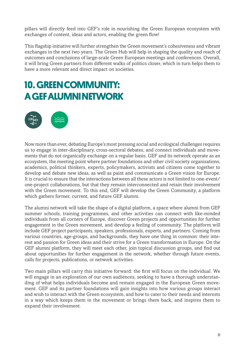pillars will directly feed into GEF's role in nourishing the Green European ecosystem with exchanges of content, ideas and actors, enabling the green flow!

This flagship initiative will further strengthen the Green movement's cohesiveness and vibrant exchanges in the next two years. The Green Hub will help in shaping the quality and reach of outcomes and conclusions of large-scale Green European meetings and conferences. Overall, it will bring Green partners from different walks of politics closer, which in turn helps them to have a more relevant and direct impact on societies.

### **10. GREEN COMMUNITY: A GEF ALUMNI NETWORK**



Now more than ever, debating Europe's most pressing social and ecological challenges requires us to engage in inter-disciplinary, cross-sectoral debates, and connect individuals and movements that do not organically exchange on a regular basis. GEF and its network operate as an ecosystem, the meeting point where partner foundations and other civil society organisations, academics, political thinkers, experts, policymakers, activists and citizens come together to develop and debate new ideas, as well as paint and communicate a Green vision for Europe. It is crucial to ensure that the interactions between all these actors is not limited to one-event/ one-project collaborations, but that they remain interconnected and retain their involvement with the Green movement. To this end, GEF will develop the Green Community, a platform which gathers former, current, and future GEF alumni.

The alumni network will take the shape of a digital platform, a space where alumni from GEF summer schools, training programmes, and other activities can connect with like-minded individuals from all corners of Europe, discover Green projects and opportunities for further engagement in the Green movement, and develop a feeling of community. The platform will include GEF project participants, speakers, professionals, experts, and partners. Coming from various countries, age-groups, and backgrounds, they have one thing in common: their interest and passion for Green ideas and their strive for a Green transformation in Europe. On the GEF alumni platform, they will meet each other, join topical discussion groups, and find out about opportunities for further engagement in the network, whether through future events, calls for projects, publications, or network activities.

Two main pillars will carry this initiative forward: the first will focus on the individual. We will engage in an exploration of our own audiences, seeking to have a thorough understanding of what helps individuals become and remain engaged in the European Green movement. GEF and its partner foundations will gain insights into how various groups interact and wish to interact with the Green ecosystem, and how to cater to their needs and interests in a way which keeps them in the movement or brings them back, and inspires them to expand their involvement.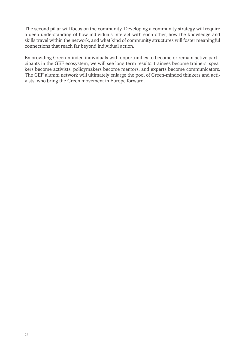The second pillar will focus on the community. Developing a community strategy will require a deep understanding of how individuals interact with each other, how the knowledge and skills travel within the network, and what kind of community structures will foster meaningful connections that reach far beyond individual action.

By providing Green-minded individuals with opportunities to become or remain active participants in the GEF ecosystem, we will see long-term results: trainees become trainers, speakers become activists, policymakers become mentors, and experts become communicators. The GEF alumni network will ultimately enlarge the pool of Green-minded thinkers and activists, who bring the Green movement in Europe forward.